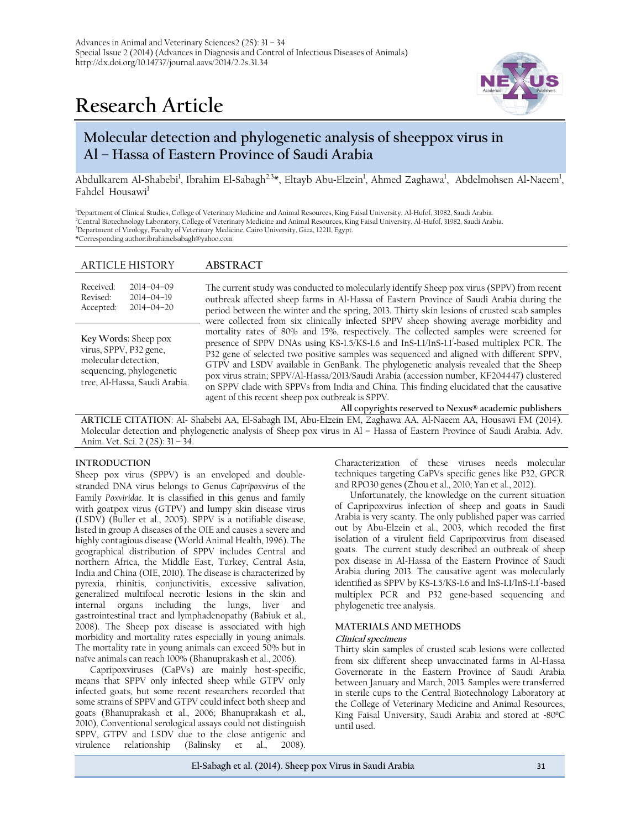# **Research Article**



# **Molecular detection and phylogenetic analysis of sheeppox virus in Al – Hassa of Eastern Province of Saudi Arabia**

Abdulkarem Al-Shabebi<sup>1</sup>, Ibrahim El-Sabagh<sup>2,3</sup>\*, Eltayb Abu-Elzein<sup>1</sup>, Ahmed Zaghawa<sup>1</sup>, Abdelmohsen Al-Naeem<sup>1</sup>, Fahdel Housawi<sup>1</sup>

Department of Clinical Studies, College of Veterinary Medicine and Animal Resources, King Faisal University, Al-Hufof, 31982, Saudi Arabia. Central Biotechnology Laboratory, College of Veterinary Medicine and Animal Resources, King Faisal University, Al-Hufof, 31982, Saudi Arabia. Department of Virology, Faculty of Veterinary Medicine, Cairo University, Giza, 12211, Egypt. \*Corresponding author:ibrahimelsabagh@yahoo.com

# ARTICLE HISTORY **ABSTRACT**

| Received: | $2014 - 04 - 09$ |
|-----------|------------------|
| Revised:  | $2014 - 04 - 19$ |
| Accepted: | $2014 - 04 - 20$ |

**Key Words:** Sheep pox virus, SPPV, P32 gene, molecular detection, sequencing, phylogenetic tree, Al-Hassa, Saudi Arabia. The current study was conducted to molecularly identify Sheep pox virus (SPPV) from recent outbreak affected sheep farms in Al-Hassa of Eastern Province of Saudi Arabia during the period between the winter and the spring, 2013. Thirty skin lesions of crusted scab samples were collected from six clinically infected SPPV sheep showing average morbidity and mortality rates of 80% and 15%, respectively. The collected samples were screened for presence of SPPV DNAs using KS-1.5/KS-1.6 and InS-1.1/InS-1.1<sup>'</sup>-based multiplex PCR. The P32 gene of selected two positive samples was sequenced and aligned with different SPPV, GTPV and LSDV available in GenBank. The phylogenetic analysis revealed that the Sheep pox virus strain; SPPV/Al-Hassa/2013/Saudi Arabia (accession number, KF204447) clustered on SPPV clade with SPPVs from India and China. This finding elucidated that the causative agent of this recent sheep pox outbreak is SPPV.

**All copyrights reserved to Nexus® academic publishers**

**ARTICLE CITATION**: Al- Shabebi AA, El-Sabagh IM, Abu-Elzein EM, Zaghawa AA, Al-Naeem AA, Housawi FM (2014). Molecular detection and phylogenetic analysis of Sheep pox virus in Al – Hassa of Eastern Province of Saudi Arabia. Adv. Anim. Vet. Sci. 2 (2S): 31 – 34.

#### **INTRODUCTION**

Sheep pox virus (SPPV) is an enveloped and doublestranded DNA virus belongs to Genus *Capripoxvirus* of the Family *Poxviridae*. It is classified in this genus and family with goatpox virus (GTPV) and lumpy skin disease virus (LSDV) (Buller et al., 2005). SPPV is a notifiable disease, listed in group A diseases of the OIE and causes a severe and highly contagious disease (World Animal Health, 1996). The geographical distribution of SPPV includes Central and northern Africa, the Middle East, Turkey, Central Asia, India and China (OIE, 2010). The disease is characterized by pyrexia, rhinitis, conjunctivitis, excessive salivation, generalized multifocal necrotic lesions in the skin and internal organs including the lungs, liver and gastrointestinal tract and lymphadenopathy (Babiuk et al., 2008). The Sheep pox disease is associated with high morbidity and mortality rates especially in young animals. The mortality rate in young animals can exceed 50% but in naïve animals can reach 100% (Bhanuprakash et al., 2006).

Capripoxviruses (CaPVs) are mainly host-specific, means that SPPV only infected sheep while GTPV only infected goats, but some recent researchers recorded that some strains of SPPV and GTPV could infect both sheep and goats (Bhanuprakash et al., 2006; Bhanuprakash et al., 2010). Conventional serological assays could not distinguish SPPV, GTPV and LSDV due to the close antigenic and virulence relationship (Balinsky et al., 2008).

Characterization of these viruses needs molecular techniques targeting CaPVs specific genes like P32, GPCR and RPO30 genes (Zhou et al., 2010; Yan et al., 2012).

Unfortunately, the knowledge on the current situation of Capripoxvirus infection of sheep and goats in Saudi Arabia is very scanty. The only published paper was carried out by Abu-Elzein et al., 2003, which recoded the first isolation of a virulent field Capripoxvirus from diseased goats. The current study described an outbreak of sheep pox disease in Al-Hassa of the Eastern Province of Saudi Arabia during 2013. The causative agent was molecularly identified as SPPV by KS-1.5/KS-1.6 and InS-1.1/InS-1.1/ -based multiplex PCR and P32 gene-based sequencing and phylogenetic tree analysis.

#### **MATERIALS AND METHODS**

# **Clinical specimens**

Thirty skin samples of crusted scab lesions were collected from six different sheep unvaccinated farms in Al-Hassa Governorate in the Eastern Province of Saudi Arabia between January and March, 2013. Samples were transferred in sterile cups to the Central Biotechnology Laboratory at the College of Veterinary Medicine and Animal Resources, King Faisal University, Saudi Arabia and stored at -80ºC until used.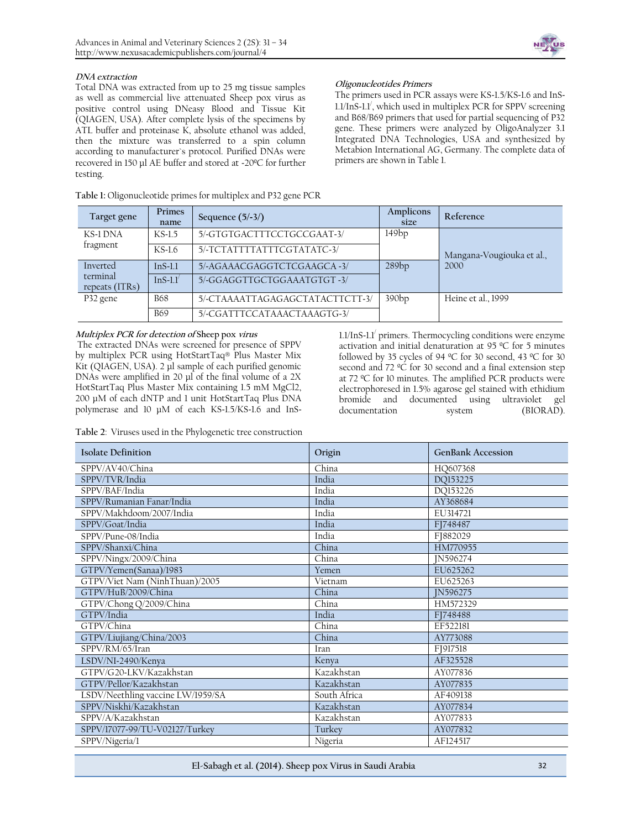

### **DNA extraction**

Total DNA was extracted from up to 25 mg tissue samples as well as commercial live attenuated Sheep pox virus as positive control using DNeasy Blood and Tissue Kit (QIAGEN, USA). After complete lysis of the specimens by ATL buffer and proteinase K, absolute ethanol was added, then the mixture was transferred to a spin column according to manufacturer`s protocol. Purified DNAs were recovered in 150 µl AE buffer and stored at -20ºC for further testing.

| Table 1: Oligonucleotide primes for multiplex and P32 gene PCR |  |  |  |
|----------------------------------------------------------------|--|--|--|
|----------------------------------------------------------------|--|--|--|

# **Oligonucleotides Primers**

The primers used in PCR assays were KS-1.5/KS-1.6 and InS-1.1/InS-1.1/ , which used in multiplex PCR for SPPV screening and B68/B69 primers that used for partial sequencing of P32 gene. These primers were analyzed by OligoAnalyzer 3.1 Integrated DNA Technologies, USA and synthesized by Metabion International AG, Germany. The complete data of primers are shown in Table 1.

| Target gene                | Primes<br>name | Sequence $(5/-3/)$              | Amplicons<br>size | Reference                 |
|----------------------------|----------------|---------------------------------|-------------------|---------------------------|
| KS-1 DNA                   | $KS-1.5$       | 5/-GTGTGACTTTCCTGCCGAAT-3/      | 149bp             |                           |
| fragment                   | $KS-1.6$       | 5/-TCTATTTTATTTCGTATATC-3/      |                   | Mangana-Vougiouka et al., |
| Inverted                   | $InS-1.1$      | 5/-AGAAACGAGGTCTCGAAGCA-3/      | 289bp             | 2000                      |
| terminal<br>repeats (ITRs) | $InS-1.1'$     | 5/-GGAGGTTGCTGGAAATGTGT-3/      |                   |                           |
| P32 gene                   | <b>B68</b>     | 5/-CTAAAATTAGAGAGCTATACTTCTT-3/ | 390bp             | Heine et al., 1999        |
|                            | <b>B69</b>     | 5/-CGATTTCCATAAACTAAAGTG-3/     |                   |                           |

# **Multiplex PCR for detection of Sheep pox virus**

The extracted DNAs were screened for presence of SPPV by multiplex PCR using HotStartTaq® Plus Master Mix Kit (QIAGEN, USA). 2 µl sample of each purified genomic DNAs were amplified in 20 µl of the final volume of a 2X HotStartTaq Plus Master Mix containing 1.5 mM MgCl2, 200 µM of each dNTP and 1 unit HotStartTaq Plus DNA polymerase and 10 µM of each KS-1.5/KS-1.6 and InS-

1.1/InS-1.1/ primers. Thermocycling conditions were enzyme activation and initial denaturation at 95 ºC for 5 minutes followed by 35 cycles of 94 ºC for 30 second, 43 ºC for 30 second and  $72 \text{ °C}$  for 30 second and a final extension step at 72 ºC for 10 minutes. The amplified PCR products were electrophoresed in 1.5% agarose gel stained with ethidium bromide and documented using ultraviolet gel documentation system (BIORAD).

**Table 2**: Viruses used in the Phylogenetic tree construction

| <b>Isolate Definition</b>         | Origin       | <b>GenBank Accession</b> |
|-----------------------------------|--------------|--------------------------|
| SPPV/AV40/China                   | China        | HQ607368                 |
| SPPV/TVR/India                    | India        | DQ153225                 |
| SPPV/BAF/India                    | India        | DO153226                 |
| SPPV/Rumanian Fanar/India         | India        | AY368684                 |
| SPPV/Makhdoom/2007/India          | India        | EU314721                 |
| SPPV/Goat/India                   | India        | FI748487                 |
| SPPV/Pune-08/India                | India        | FJ882029                 |
| SPPV/Shanxi/China                 | China        | HM770955                 |
| SPPV/Ningx/2009/China             | China        | IN596274                 |
| GTPV/Yemen(Sanaa)/1983            | Yemen        | FU625262                 |
| GTPV/Viet Nam (NinhThuan)/2005    | Vietnam      | EU625263                 |
| GTPV/HuB/2009/China               | China        | IN596275                 |
| GTPV/Chong Q/2009/China           | China        | HM572329                 |
| GTPV/India                        | India        | FI748488                 |
| GTPV/China                        | China        | EF522181                 |
| GTPV/Liujiang/China/2003          | China        | AY773088                 |
| SPPV/RM/65/Iran                   | Iran         | F1917518                 |
| LSDV/NI-2490/Kenya                | Kenya        | AF325528                 |
| GTPV/G20-LKV/Kazakhstan           | Kazakhstan   | AY077836                 |
| GTPV/Pellor/Kazakhstan            | Kazakhstan   | AY077835                 |
| LSDV/Neethling vaccine LW/1959/SA | South Africa | AF409138                 |
| SPPV/Niskhi/Kazakhstan            | Kazakhstan   | AY077834                 |
| SPPV/A/Kazakhstan                 | Kazakhstan   | AY077833                 |
| SPPV/17077-99/TU-V02127/Turkey    | Turkey       | AY077832                 |
| SPPV/Nigeria/1                    | Nigeria      | AF124517                 |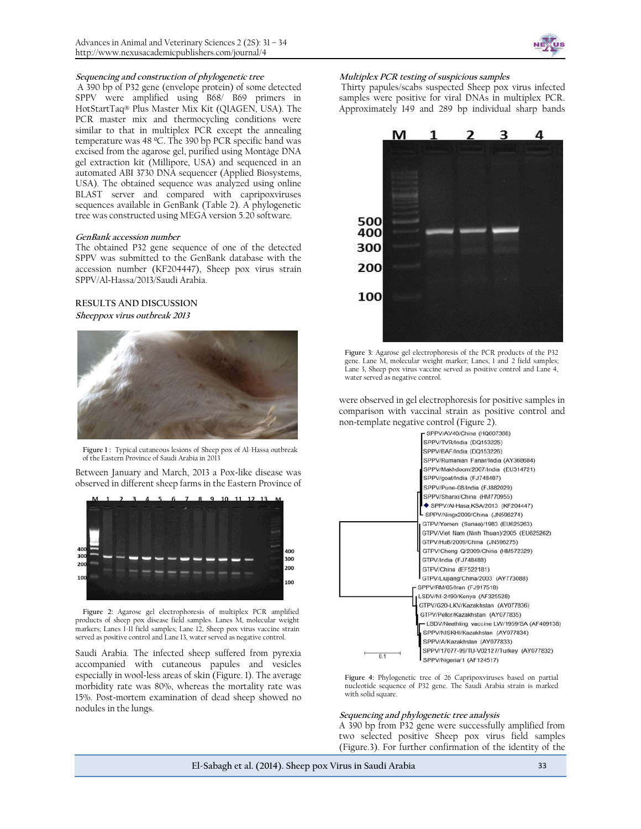

#### **Sequencing and construction of phylogenetic tree**

A 390 bp of P32 gene (envelope protein) of some detected SPPV were amplified using B68/ B69 primers in HotStartTaq® Plus Master Mix Kit (QIAGEN, USA). The PCR master mix and thermocycling conditions were similar to that in multiplex PCR except the annealing temperature was 48 ºC. The 390 bp PCR specific band was excised from the agarose gel, purified using Montàge DNA gel extraction kit (Millipore, USA) and sequenced in an automated ABI 3730 DNA sequencer (Applied Biosystems, USA). The obtained sequence was analyzed using online BLAST server and compared with capripoxviruses sequences available in GenBank (Table 2). A phylogenetic tree was constructed using MEGA version 5.20 software.

#### **GenBank accession number**

The obtained P32 gene sequence of one of the detected SPPV was submitted to the GenBank database with the accession number (KF204447), Sheep pox virus strain SPPV/Al-Hassa/2013/Saudi Arabia.

# **RESULTS AND DISCUSSION Sheeppox virus outbreak 2013**



**Figure 1 :** Typical cutaneous lesions of Sheep pox of Al-Hassa outbreak of the Eastern Province of Saudi Arabia in 2013

Between January and March, 2013 a Pox-like disease was observed in different sheep farms in the Eastern Province of



**Figure 2:** Agarose gel electrophoresis of multiplex PCR amplified products of sheep pox disease field samples. Lanes M, molecular weight markers; Lanes 1-11 field samples; Lane 12, Sheep pox virus vaccine strain served as positive control and Lane 13, water served as negative control.

Saudi Arabia. The infected sheep suffered from pyrexia accompanied with cutaneous papules and vesicles especially in wool-less areas of skin (Figure. 1). The average morbidity rate was 80%, whereas the mortality rate was 15%. Post-mortem examination of dead sheep showed no nodules in the lungs.

#### **Multiplex PCR testing of suspicious samples**

Thirty papules/scabs suspected Sheep pox virus infected samples were positive for viral DNAs in multiplex PCR. Approximately 149 and 289 bp individual sharp bands



**Figure 3:** Agarose gel electrophoresis of the PCR products of the P32 gene. Lane M, molecular weight marker; Lanes, 1 and 2 field samples; Lane 3, Sheep pox virus vaccine served as positive control and Lane 4, water served as negative control.

were observed in gel electrophoresis for positive samples in comparison with vaccinal strain as positive control and non-template negative control (Figure 2).



**Figure 4:** Phylogenetic tree of 26 Capripoxviruses based on partial nucleotide sequence of P32 gene. The Saudi Arabia strain is marked with solid square.

#### **Sequencing and phylogenetic tree analysis**

A 390 bp from P32 gene were successfully amplified from two selected positive Sheep pox virus field samples (Figure.3). For further confirmation of the identity of the

**El-Sabagh et al. (2014). Sheep pox Virus in Saudi Arabia** 33